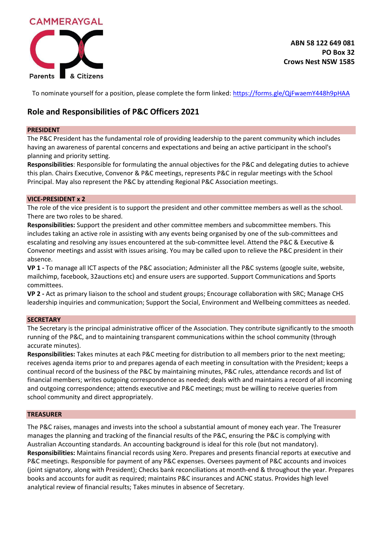

**ABN 58 122 649 081 PO Box 32 Crows Nest NSW 1585**

To nominate yourself for a position, please complete the form linked[: https://forms.gle/QjFwaemY448h9pHAA](https://forms.gle/QjFwaemY448h9pHAA)

# **Role and Responsibilities of P&C Officers 2021**

# **PRESIDENT**

The P&C President has the fundamental role of providing leadership to the parent community which includes having an awareness of parental concerns and expectations and being an active participant in the school's planning and priority setting.

**Responsibilities**: Responsible for formulating the annual objectives for the P&C and delegating duties to achieve this plan. Chairs Executive, Convenor & P&C meetings, represents P&C in regular meetings with the School Principal. May also represent the P&C by attending Regional P&C Association meetings.

# **VICE-PRESIDENT x 2**

The role of the vice president is to support the president and other committee members as well as the school. There are two roles to be shared.

**Responsibilities:** Support the president and other committee members and subcommittee members. This includes taking an active role in assisting with any events being organised by one of the sub-committees and escalating and resolving any issues encountered at the sub-committee level. Attend the P&C & Executive & Convenor meetings and assist with issues arising. You may be called upon to relieve the P&C president in their absence.

**VP 1 -** To manage all ICT aspects of the P&C association; Administer all the P&C systems (google suite, website, mailchimp, facebook, 32auctions etc) and ensure users are supported. Support Communications and Sports committees.

**VP 2 -** Act as primary liaison to the school and student groups; Encourage collaboration with SRC; Manage CHS leadership inquiries and communication; Support the Social, Environment and Wellbeing committees as needed.

# **SECRETARY**

The Secretary is the principal administrative officer of the Association. They contribute significantly to the smooth running of the P&C, and to maintaining transparent communications within the school community (through accurate minutes).

**Responsibilities:** Takes minutes at each P&C meeting for distribution to all members prior to the next meeting; receives agenda items prior to and prepares agenda of each meeting in consultation with the President; keeps a continual record of the business of the P&C by maintaining minutes, P&C rules, attendance records and list of financial members; writes outgoing correspondence as needed; deals with and maintains a record of all incoming and outgoing correspondence; attends executive and P&C meetings; must be willing to receive queries from school community and direct appropriately.

# **TREASURER**

The P&C raises, manages and invests into the school a substantial amount of money each year. The Treasurer manages the planning and tracking of the financial results of the P&C, ensuring the P&C is complying with Australian Accounting standards. An accounting background is ideal for this role (but not mandatory). **Responsibilities:** Maintains financial records using Xero. Prepares and presents financial reports at executive and P&C meetings. Responsible for payment of any P&C expenses. Oversees payment of P&C accounts and invoices (joint signatory, along with President); Checks bank reconciliations at month-end & throughout the year. Prepares books and accounts for audit as required; maintains P&C insurances and ACNC status. Provides high level analytical review of financial results; Takes minutes in absence of Secretary.